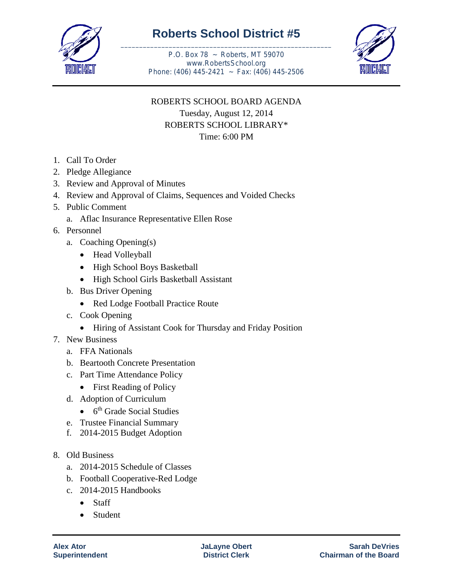

## **Roberts School District #5** \_\_\_\_\_\_\_\_\_\_\_\_\_\_\_\_\_\_\_\_\_\_\_\_\_\_\_\_\_\_\_\_\_\_\_\_\_\_\_\_\_\_\_\_\_\_\_\_\_\_\_\_\_\_\_\_\_

P.O. Box 78 ~ Roberts, MT 59070 www.RobertsSchool.org Phone: (406) 445-2421 ~ Fax: (406) 445-2506



## ROBERTS SCHOOL BOARD AGENDA Tuesday, August 12, 2014 ROBERTS SCHOOL LIBRARY\* Time: 6:00 PM

- 1. Call To Order
- 2. Pledge Allegiance
- 3. Review and Approval of Minutes
- 4. Review and Approval of Claims, Sequences and Voided Checks
- 5. Public Comment
	- a. Aflac Insurance Representative Ellen Rose
- 6. Personnel
	- a. Coaching Opening(s)
		- Head Volleyball
		- High School Boys Basketball
		- High School Girls Basketball Assistant
	- b. Bus Driver Opening
		- Red Lodge Football Practice Route
	- c. Cook Opening
		- Hiring of Assistant Cook for Thursday and Friday Position
- 7. New Business
	- a. FFA Nationals
	- b. Beartooth Concrete Presentation
	- c. Part Time Attendance Policy
		- First Reading of Policy
	- d. Adoption of Curriculum
		- $\bullet$  6<sup>th</sup> Grade Social Studies
	- e. Trustee Financial Summary
	- f. 2014-2015 Budget Adoption
- 8. Old Business
	- a. 2014-2015 Schedule of Classes
	- b. Football Cooperative-Red Lodge
	- c. 2014-2015 Handbooks
		- Staff
		- Student